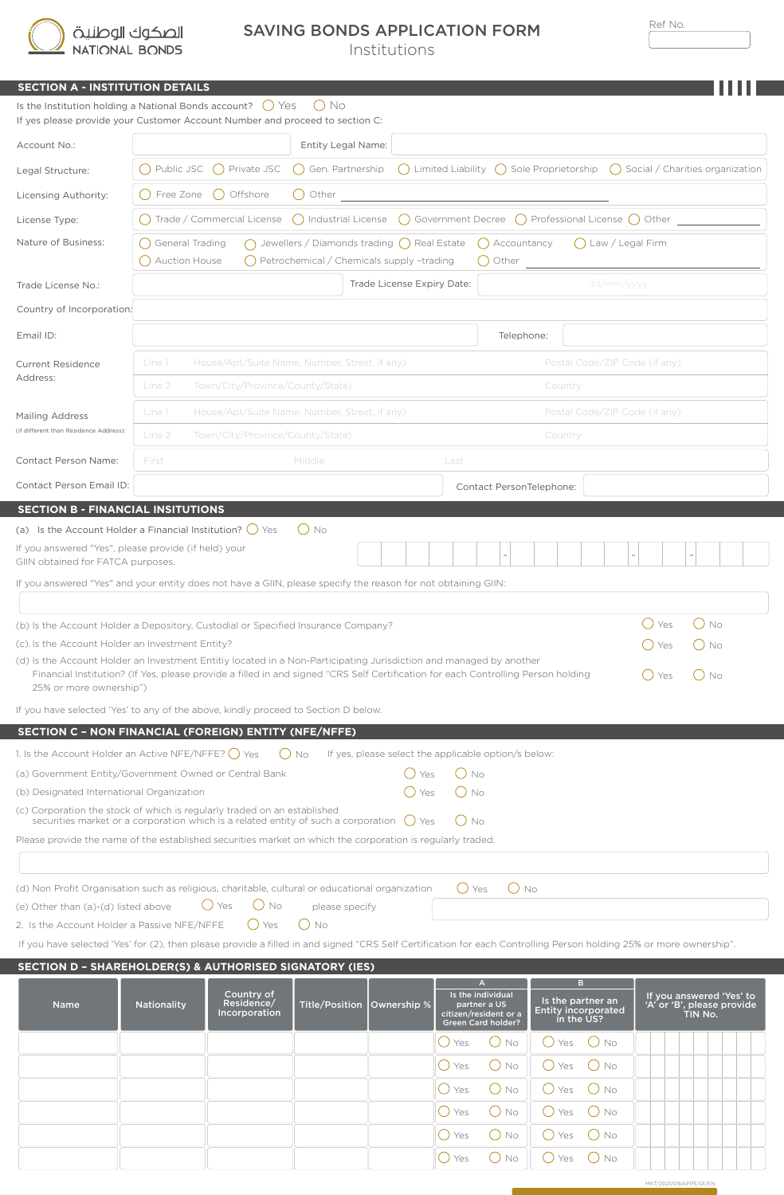الصكوك الوطنية<br>NATIONAL BONDS

# SAVING BONDS APPLICATION FORM Institutions

Ref No.

| If yes please provide your Customer Account Number and proceed to section C:                                                                                                                                                                                                                                                                                                                                                                                                                                                                                                                                                                                                                                                                                                                                                                                                                                                                                                                                                                                                                                                                                                                                                                                                                                                     |                                   |                                                  |                       |                                                              |                                                                                              |                       |                                                                                                     |                               |                |         |                                                        |
|----------------------------------------------------------------------------------------------------------------------------------------------------------------------------------------------------------------------------------------------------------------------------------------------------------------------------------------------------------------------------------------------------------------------------------------------------------------------------------------------------------------------------------------------------------------------------------------------------------------------------------------------------------------------------------------------------------------------------------------------------------------------------------------------------------------------------------------------------------------------------------------------------------------------------------------------------------------------------------------------------------------------------------------------------------------------------------------------------------------------------------------------------------------------------------------------------------------------------------------------------------------------------------------------------------------------------------|-----------------------------------|--------------------------------------------------|-----------------------|--------------------------------------------------------------|----------------------------------------------------------------------------------------------|-----------------------|-----------------------------------------------------------------------------------------------------|-------------------------------|----------------|---------|--------------------------------------------------------|
| Account No.:                                                                                                                                                                                                                                                                                                                                                                                                                                                                                                                                                                                                                                                                                                                                                                                                                                                                                                                                                                                                                                                                                                                                                                                                                                                                                                                     |                                   |                                                  | Entity Legal Name:    |                                                              |                                                                                              |                       |                                                                                                     |                               |                |         |                                                        |
| Legal Structure:                                                                                                                                                                                                                                                                                                                                                                                                                                                                                                                                                                                                                                                                                                                                                                                                                                                                                                                                                                                                                                                                                                                                                                                                                                                                                                                 | () Public JSC () Private JSC      |                                                  | () Gen. Partnership   |                                                              |                                                                                              |                       | $\bigcap$ Limited Liability $\bigcap$ Sole Proprietorship $\bigcap$ Social / Charities organization |                               |                |         |                                                        |
| Licensing Authority:                                                                                                                                                                                                                                                                                                                                                                                                                                                                                                                                                                                                                                                                                                                                                                                                                                                                                                                                                                                                                                                                                                                                                                                                                                                                                                             | () Free Zone () Offshore          |                                                  | $\bigcirc$ Other      |                                                              |                                                                                              |                       |                                                                                                     |                               |                |         |                                                        |
| License Type:                                                                                                                                                                                                                                                                                                                                                                                                                                                                                                                                                                                                                                                                                                                                                                                                                                                                                                                                                                                                                                                                                                                                                                                                                                                                                                                    | ◯ Trade / Commercial License      |                                                  | () Industrial License |                                                              |                                                                                              |                       | $\bigcap$ Government Decree $\bigcap$ Professional License $\bigcap$ Other                          |                               |                |         |                                                        |
| Nature of Business:                                                                                                                                                                                                                                                                                                                                                                                                                                                                                                                                                                                                                                                                                                                                                                                                                                                                                                                                                                                                                                                                                                                                                                                                                                                                                                              | () General Trading                |                                                  |                       | $\bigcap$ Jewellers / Diamonds trading $\bigcap$ Real Estate |                                                                                              | $\bigcap$ Accountancy |                                                                                                     | $\bigcap$ Law / Legal Firm    |                |         |                                                        |
|                                                                                                                                                                                                                                                                                                                                                                                                                                                                                                                                                                                                                                                                                                                                                                                                                                                                                                                                                                                                                                                                                                                                                                                                                                                                                                                                  | Auction House                     |                                                  |                       | Petrochemical / Chemicals supply -trading                    |                                                                                              | ( ) Other             |                                                                                                     |                               |                |         |                                                        |
| Trade License No.:                                                                                                                                                                                                                                                                                                                                                                                                                                                                                                                                                                                                                                                                                                                                                                                                                                                                                                                                                                                                                                                                                                                                                                                                                                                                                                               |                                   |                                                  |                       | Trade License Expiry Date:                                   |                                                                                              |                       |                                                                                                     | dd/mm/yyyy                    |                |         |                                                        |
| Country of Incorporation:                                                                                                                                                                                                                                                                                                                                                                                                                                                                                                                                                                                                                                                                                                                                                                                                                                                                                                                                                                                                                                                                                                                                                                                                                                                                                                        |                                   |                                                  |                       |                                                              |                                                                                              |                       |                                                                                                     |                               |                |         |                                                        |
| Email ID:                                                                                                                                                                                                                                                                                                                                                                                                                                                                                                                                                                                                                                                                                                                                                                                                                                                                                                                                                                                                                                                                                                                                                                                                                                                                                                                        |                                   |                                                  |                       |                                                              |                                                                                              | Telephone:            |                                                                                                     |                               |                |         |                                                        |
|                                                                                                                                                                                                                                                                                                                                                                                                                                                                                                                                                                                                                                                                                                                                                                                                                                                                                                                                                                                                                                                                                                                                                                                                                                                                                                                                  |                                   | House/Apt/Suite Name, Number, Street, if any)    |                       |                                                              |                                                                                              |                       |                                                                                                     |                               |                |         |                                                        |
| <b>Current Residence</b><br>Address:                                                                                                                                                                                                                                                                                                                                                                                                                                                                                                                                                                                                                                                                                                                                                                                                                                                                                                                                                                                                                                                                                                                                                                                                                                                                                             | Line 1                            |                                                  |                       |                                                              |                                                                                              |                       |                                                                                                     | Postal Code/ZIP Code (if any) |                |         |                                                        |
|                                                                                                                                                                                                                                                                                                                                                                                                                                                                                                                                                                                                                                                                                                                                                                                                                                                                                                                                                                                                                                                                                                                                                                                                                                                                                                                                  | Line 2                            | Town/City/Province/County/State)                 |                       |                                                              |                                                                                              |                       | Country                                                                                             |                               |                |         |                                                        |
| <b>Mailing Address</b><br>(if different than Residence Address):                                                                                                                                                                                                                                                                                                                                                                                                                                                                                                                                                                                                                                                                                                                                                                                                                                                                                                                                                                                                                                                                                                                                                                                                                                                                 | Line 1                            | House/Apt/Suite Name, Number, Street, if any)    |                       |                                                              |                                                                                              |                       |                                                                                                     | Postal Code/ZIP Code (if any) |                |         |                                                        |
|                                                                                                                                                                                                                                                                                                                                                                                                                                                                                                                                                                                                                                                                                                                                                                                                                                                                                                                                                                                                                                                                                                                                                                                                                                                                                                                                  | Line 2                            | Town/City/Province/County/State)                 |                       |                                                              |                                                                                              |                       | Country                                                                                             |                               |                |         |                                                        |
| Contact Person Name:                                                                                                                                                                                                                                                                                                                                                                                                                                                                                                                                                                                                                                                                                                                                                                                                                                                                                                                                                                                                                                                                                                                                                                                                                                                                                                             | First                             |                                                  | Middle                |                                                              | Last                                                                                         |                       |                                                                                                     |                               |                |         |                                                        |
| Contact Person Email ID:                                                                                                                                                                                                                                                                                                                                                                                                                                                                                                                                                                                                                                                                                                                                                                                                                                                                                                                                                                                                                                                                                                                                                                                                                                                                                                         |                                   |                                                  |                       |                                                              |                                                                                              |                       | Contact PersonTelephone:                                                                            |                               |                |         |                                                        |
| <b>SECTION B - FINANCIAL INSITUTIONS</b>                                                                                                                                                                                                                                                                                                                                                                                                                                                                                                                                                                                                                                                                                                                                                                                                                                                                                                                                                                                                                                                                                                                                                                                                                                                                                         |                                   |                                                  |                       |                                                              |                                                                                              |                       |                                                                                                     |                               |                |         |                                                        |
|                                                                                                                                                                                                                                                                                                                                                                                                                                                                                                                                                                                                                                                                                                                                                                                                                                                                                                                                                                                                                                                                                                                                                                                                                                                                                                                                  | GIIN obtained for FATCA purposes. |                                                  |                       |                                                              |                                                                                              |                       |                                                                                                     |                               | ( ) Yes<br>Yes |         | <b>No</b><br>No                                        |
| Financial Institution? (If Yes, please provide a filled in and signed "CRS Self Certification for each Controlling Person holding<br>25% or more ownership")                                                                                                                                                                                                                                                                                                                                                                                                                                                                                                                                                                                                                                                                                                                                                                                                                                                                                                                                                                                                                                                                                                                                                                     |                                   |                                                  | $()$ No               | If yes, please select the applicable option/s below:         |                                                                                              |                       |                                                                                                     |                               | $()$ Yes       |         | () No                                                  |
| securities market or a corporation which is a related entity of such a corporation $\bigcirc$ Yes                                                                                                                                                                                                                                                                                                                                                                                                                                                                                                                                                                                                                                                                                                                                                                                                                                                                                                                                                                                                                                                                                                                                                                                                                                |                                   |                                                  |                       | $\bigcirc$ Yes<br>() Yes                                     | $\bigcirc$ No<br>$\bigcap$ No<br>$()$ No                                                     |                       |                                                                                                     |                               |                |         |                                                        |
|                                                                                                                                                                                                                                                                                                                                                                                                                                                                                                                                                                                                                                                                                                                                                                                                                                                                                                                                                                                                                                                                                                                                                                                                                                                                                                                                  |                                   |                                                  |                       |                                                              |                                                                                              |                       |                                                                                                     |                               |                |         |                                                        |
|                                                                                                                                                                                                                                                                                                                                                                                                                                                                                                                                                                                                                                                                                                                                                                                                                                                                                                                                                                                                                                                                                                                                                                                                                                                                                                                                  |                                   |                                                  |                       |                                                              |                                                                                              |                       |                                                                                                     |                               |                |         |                                                        |
|                                                                                                                                                                                                                                                                                                                                                                                                                                                                                                                                                                                                                                                                                                                                                                                                                                                                                                                                                                                                                                                                                                                                                                                                                                                                                                                                  |                                   |                                                  |                       |                                                              | () Yes                                                                                       | $()$ No               |                                                                                                     |                               |                |         |                                                        |
|                                                                                                                                                                                                                                                                                                                                                                                                                                                                                                                                                                                                                                                                                                                                                                                                                                                                                                                                                                                                                                                                                                                                                                                                                                                                                                                                  | $()$ Yes                          | $()$ No                                          | please specify        |                                                              |                                                                                              |                       |                                                                                                     |                               |                |         |                                                        |
|                                                                                                                                                                                                                                                                                                                                                                                                                                                                                                                                                                                                                                                                                                                                                                                                                                                                                                                                                                                                                                                                                                                                                                                                                                                                                                                                  |                                   | $()$ Yes                                         | $()$ No               |                                                              |                                                                                              |                       |                                                                                                     |                               |                |         |                                                        |
|                                                                                                                                                                                                                                                                                                                                                                                                                                                                                                                                                                                                                                                                                                                                                                                                                                                                                                                                                                                                                                                                                                                                                                                                                                                                                                                                  |                                   |                                                  |                       |                                                              |                                                                                              |                       |                                                                                                     |                               |                |         |                                                        |
|                                                                                                                                                                                                                                                                                                                                                                                                                                                                                                                                                                                                                                                                                                                                                                                                                                                                                                                                                                                                                                                                                                                                                                                                                                                                                                                                  |                                   |                                                  |                       |                                                              |                                                                                              |                       |                                                                                                     |                               |                |         |                                                        |
| Name                                                                                                                                                                                                                                                                                                                                                                                                                                                                                                                                                                                                                                                                                                                                                                                                                                                                                                                                                                                                                                                                                                                                                                                                                                                                                                                             | <b>Nationality</b>                | Country of<br>Residence/<br><b>Incorporation</b> | Title/Position        | Ownership %                                                  | A<br>Is the individual<br>partner a US<br>citizen/resident or a<br><b>Green Card holder?</b> |                       | в<br>Is the partner an<br><b>Entity incorporated</b><br>in the US?                                  |                               |                | TIN No. |                                                        |
|                                                                                                                                                                                                                                                                                                                                                                                                                                                                                                                                                                                                                                                                                                                                                                                                                                                                                                                                                                                                                                                                                                                                                                                                                                                                                                                                  |                                   |                                                  |                       |                                                              | $()$ Yes                                                                                     | $()$ No               | ∪ Yes                                                                                               | $()$ No                       |                |         | If you answered 'Yes' to<br>'A' or 'B', please provide |
| If you answered "Yes" and your entity does not have a GIIN, please specify the reason for not obtaining GIIN:<br>(b) Is the Account Holder a Depository, Custodial or Specified Insurance Company?<br>(c). Is the Account Holder an Investment Entity?<br>(d) Is the Account Holder an Investment Entitiy located in a Non-Participating Jurisdiction and managed by another<br>If you have selected 'Yes' to any of the above, kindly proceed to Section D below.<br>SECTION C - NON FINANCIAL (FOREIGN) ENTITY (NFE/NFFE)<br>1. Is the Account Holder an Active NFE/NFFE? $\bigcirc$ Yes<br>(a) Government Entity/Government Owned or Central Bank<br>(b) Designated International Organization<br>(c) Corporation the stock of which is regularly traded on an established<br>Please provide the name of the established securities market on which the corporation is regularly traded:<br>(d) Non Profit Organisation such as religious, charitable, cultural or educational organization<br>(e) Other than (a)-(d) listed above<br>2. Is the Account Holder a Passive NFE/NFFE<br>If you have selected 'Yes' for (2), then please provide a filled in and signed "CRS Self Certification for each Controlling Person holding 25% or more ownership".<br><b>SECTION D - SHAREHOLDER(S) &amp; AUTHORISED SIGNATORY (IES)</b> |                                   |                                                  |                       |                                                              | $()$ Yes                                                                                     | $()$ No               | $\bigcirc$ Yes                                                                                      | $()$ No                       |                |         |                                                        |
|                                                                                                                                                                                                                                                                                                                                                                                                                                                                                                                                                                                                                                                                                                                                                                                                                                                                                                                                                                                                                                                                                                                                                                                                                                                                                                                                  |                                   |                                                  |                       |                                                              | $\bigcirc$ Yes                                                                               | $\bigcirc$ No         | $\bigcirc$ Yes                                                                                      | $O$ No                        |                |         |                                                        |
|                                                                                                                                                                                                                                                                                                                                                                                                                                                                                                                                                                                                                                                                                                                                                                                                                                                                                                                                                                                                                                                                                                                                                                                                                                                                                                                                  |                                   |                                                  |                       |                                                              | () Yes                                                                                       | $\bigcap$ No          | $\bigcirc$ Yes                                                                                      | $O$ No                        |                |         |                                                        |
|                                                                                                                                                                                                                                                                                                                                                                                                                                                                                                                                                                                                                                                                                                                                                                                                                                                                                                                                                                                                                                                                                                                                                                                                                                                                                                                                  |                                   |                                                  |                       |                                                              | $\bigcirc$ Yes                                                                               | $O$ No                | $\bigcirc$ Yes                                                                                      | $O$ No                        |                |         |                                                        |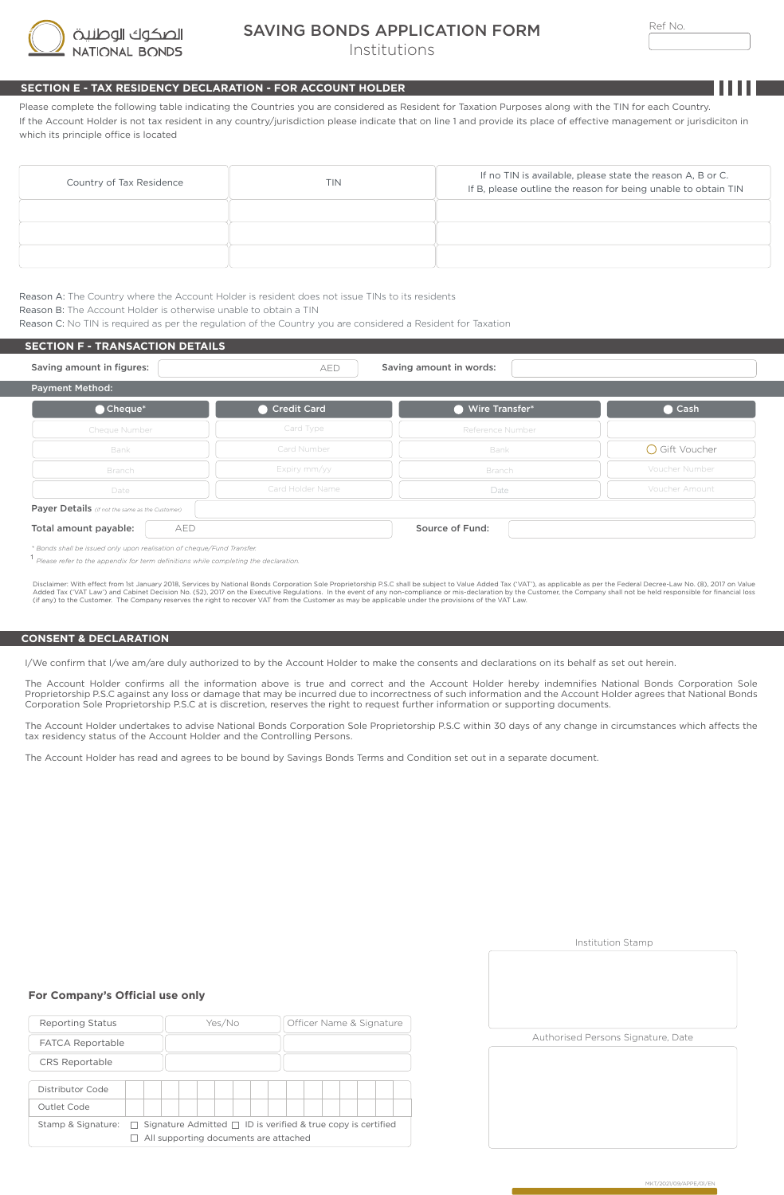

# SAVING BONDS APPLICATION FORM Institutions

Ref No.

## **SECTION E - TAX RESIDENCY DECLARATION - FOR ACCOUNT HOLDER**

Please complete the following table indicating the Countries you are considered as Resident for Taxation Purposes along with the TIN for each Country. If the Account Holder is not tax resident in any country/jurisdiction please indicate that on line 1 and provide its place of effective management or jurisdiciton in which its principle office is located

| Country of Tax Residence | TIN | If no TIN is available, please state the reason A, B or C.<br>If B, please outline the reason for being unable to obtain TIN |
|--------------------------|-----|------------------------------------------------------------------------------------------------------------------------------|
|                          |     |                                                                                                                              |
|                          |     |                                                                                                                              |
|                          |     |                                                                                                                              |

Reason A: The Country where the Account Holder is resident does not issue TINs to its residents

Reason B: The Account Holder is otherwise unable to obtain a TIN

Reason C: No TIN is required as per the regulation of the Country you are considered a Resident for Taxation

| <b>SECTION F - TRANSACTION DETAILS</b>          |                  |                         |                |
|-------------------------------------------------|------------------|-------------------------|----------------|
| Saving amount in figures:                       | <b>AED</b>       | Saving amount in words: |                |
| <b>Payment Method:</b>                          |                  |                         |                |
| $\bullet$ Cheque*                               | Credit Card      | Wire Transfer*          | Cash           |
| Cheque Number                                   | Card Type        | Reference Number        |                |
| Bank                                            | Card Number      | Bank                    | ○ Gift Voucher |
| <b>Branch</b>                                   | Expiry mm/yy     | <b>Branch</b>           | Voucher Number |
| Date                                            | Card Holder Name | Date                    | Voucher Amount |
| Payer Details (if not the same as the Customer) |                  |                         |                |
| Total amount payable:<br><b>AED</b>             |                  | Source of Fund:         |                |

*\* Bonds shall be issued only upon realisation of cheque/Fund Transfer.* 

*Please refer to the appendix for term definitions while completing the declaration.* <sup>1</sup>

Disclaimer: With effect from 1st January 2018, Services by National Bonds Corporation Sole Proprietorship P.S.C shall be subject to Value Added Tax ("VAT"), as applicable as per the Federal Decree-Law No. (8), 2017 on Valu

## **CONSENT & DECLARATION**

I/We confirm that I/we am/are duly authorized to by the Account Holder to make the consents and declarations on its behalf as set out herein.

The Account Holder confirms all the information above is true and correct and the Account Holder hereby indemnifies National Bonds Corporation Sole Proprietorship P.S.C against any loss or damage that may be incurred due to incorrectness of such information and the Account Holder agrees that National Bonds Corporation Sole Proprietorship P.S.C at is discretion, reserves the right to request further information or supporting documents.

The Account Holder undertakes to advise National Bonds Corporation Sole Proprietorship P.S.C within 30 days of any change in circumstances which affects the tax residency status of the Account Holder and the Controlling Persons.

The Account Holder has read and agrees to be bound by Savings Bonds Terms and Condition set out in a separate document.

## **For Company's Official use only**

| <b>Reporting Status</b> |                                                                          |                                       |  | Yes/No |  |  |  |  | Officer Name & Signature |  |  |  |  |  |  |
|-------------------------|--------------------------------------------------------------------------|---------------------------------------|--|--------|--|--|--|--|--------------------------|--|--|--|--|--|--|
| <b>FATCA Reportable</b> |                                                                          |                                       |  |        |  |  |  |  |                          |  |  |  |  |  |  |
| <b>CRS Reportable</b>   |                                                                          |                                       |  |        |  |  |  |  |                          |  |  |  |  |  |  |
|                         |                                                                          |                                       |  |        |  |  |  |  |                          |  |  |  |  |  |  |
| Distributor Code        |                                                                          |                                       |  |        |  |  |  |  |                          |  |  |  |  |  |  |
| Outlet Code             |                                                                          |                                       |  |        |  |  |  |  |                          |  |  |  |  |  |  |
| Stamp & Signature:      | $\Box$ Signature Admitted $\Box$ ID is verified & true copy is certified |                                       |  |        |  |  |  |  |                          |  |  |  |  |  |  |
|                         |                                                                          | All supporting documents are attached |  |        |  |  |  |  |                          |  |  |  |  |  |  |

| Institution Stamp                  |
|------------------------------------|
|                                    |
|                                    |
|                                    |
| Authorised Persons Signature, Date |
|                                    |
|                                    |
|                                    |
|                                    |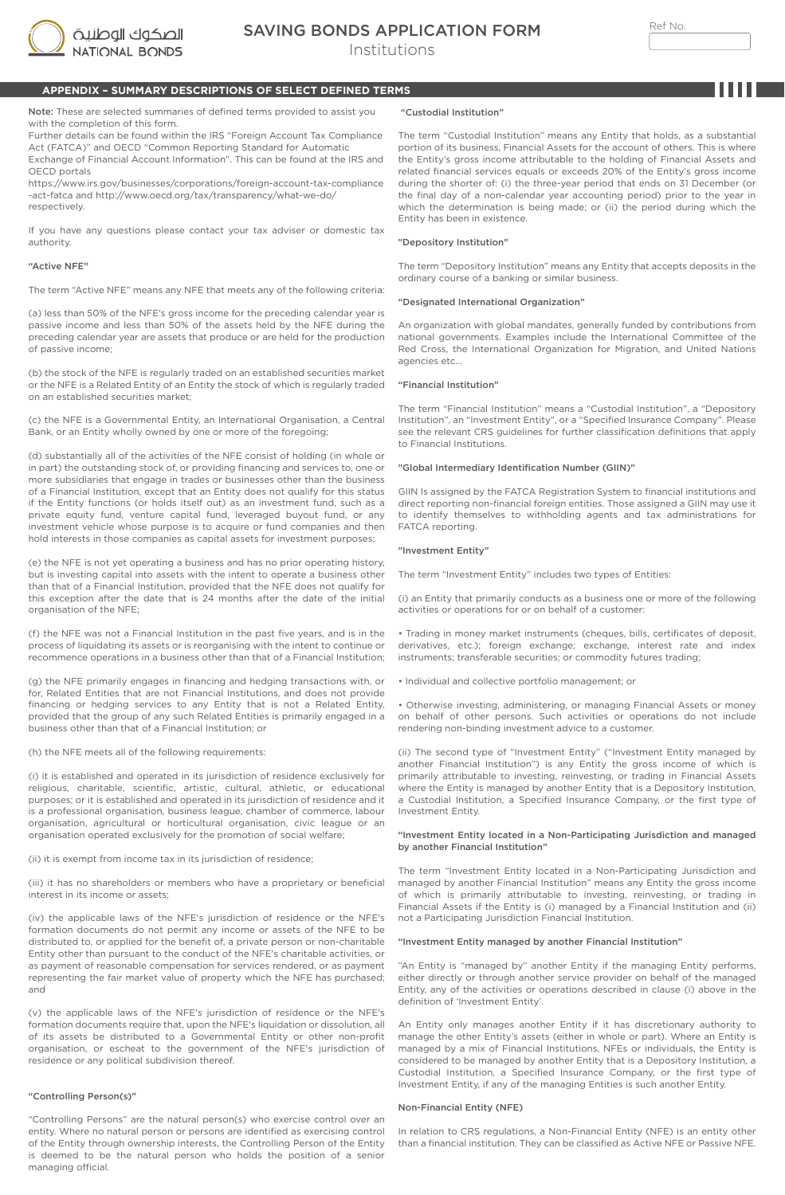

## **APPENDIX – SUMMARY DESCRIPTIONS OF SELECT DEFINED TERMS**

Note: These are selected summaries of defined terms provided to assist you with the completion of this form.

Further details can be found within the IRS "Foreign Account Tax Compliance Act (FATCA)" and OECD "Common Reporting Standard for Automatic Exchange of Financial Account Information". This can be found at the IRS and OECD portals

https://www.irs.gov/businesses/corporations/foreign-account-tax-compliance -act-fatca and http://www.oecd.org/tax/transparency/what-we-do/ respectively.

If you have any questions please contact your tax adviser or domestic tax authority.

## "Active NFE"

The term "Active NFE" means any NFE that meets any of the following criteria:

(a) less than 50% of the NFE's gross income for the preceding calendar year is passive income and less than 50% of the assets held by the NFE during the preceding calendar year are assets that produce or are held for the production of passive income;

(b) the stock of the NFE is regularly traded on an established securities market or the NFE is a Related Entity of an Entity the stock of which is regularly traded on an established securities market;

(c) the NFE is a Governmental Entity, an International Organisation, a Central Bank, or an Entity wholly owned by one or more of the foregoing;

(d) substantially all of the activities of the NFE consist of holding (in whole or in part) the outstanding stock of, or providing financing and services to, one or more subsidiaries that engage in trades or businesses other than the business of a Financial Institution, except that an Entity does not qualify for this status if the Entity functions (or holds itself out) as an investment fund, such as a private equity fund, venture capital fund, leveraged buyout fund, or any investment vehicle whose purpose is to acquire or fund companies and then hold interests in those companies as capital assets for investment purposes;

(e) the NFE is not yet operating a business and has no prior operating history, but is investing capital into assets with the intent to operate a business other than that of a Financial Institution, provided that the NFE does not qualify for this exception after the date that is 24 months after the date of the initial organisation of the NFE;

(f) the NFE was not a Financial Institution in the past five years, and is in the process of liquidating its assets or is reorganising with the intent to continue or recommence operations in a business other than that of a Financial Institution;

(g) the NFE primarily engages in financing and hedging transactions with, or for, Related Entities that are not Financial Institutions, and does not provide financing or hedging services to any Entity that is not a Related Entity, provided that the group of any such Related Entities is primarily engaged in a business other than that of a Financial Institution; or

#### (h) the NFE meets all of the following requirements:

(i) it is established and operated in its jurisdiction of residence exclusively for religious, charitable, scientific, artistic, cultural, athletic, or educational purposes; or it is established and operated in its jurisdiction of residence and it is a professional organisation, business league, chamber of commerce, labour organisation, agricultural or horticultural organisation, civic league or an organisation operated exclusively for the promotion of social welfare;

(ii) it is exempt from income tax in its jurisdiction of residence;

(iii) it has no shareholders or members who have a proprietary or beneficial interest in its income or assets;

(iv) the applicable laws of the NFE's jurisdiction of residence or the NFE's formation documents do not permit any income or assets of the NFE to be distributed to, or applied for the benefit of, a private person or non-charitable Entity other than pursuant to the conduct of the NFE's charitable activities, or as payment of reasonable compensation for services rendered, or as payment representing the fair market value of property which the NFE has purchased; and

(v) the applicable laws of the NFE's jurisdiction of residence or the NFE's formation documents require that, upon the NFE's liquidation or dissolution, all of its assets be distributed to a Governmental Entity or other non-profit organisation, or escheat to the government of the NFE's jurisdiction of residence or any political subdivision thereof.

#### "Controlling Person(s)"

"Controlling Persons" are the natural person(s) who exercise control over an entity. Where no natural person or persons are identified as exercising control of the Entity through ownership interests, the Controlling Person of the Entity is deemed to be the natural person who holds the position of a senior managing official.

### "Custodial Institution"

The term "Custodial Institution" means any Entity that holds, as a substantial portion of its business, Financial Assets for the account of others. This is where the Entity's gross income attributable to the holding of Financial Assets and related financial services equals or exceeds 20% of the Entity's gross income during the shorter of: (i) the three-year period that ends on 31 December (or the final day of a non-calendar year accounting period) prior to the year in which the determination is being made; or (ii) the period during which the Entity has been in existence.

## "Depository Institution"

The term "Depository Institution" means any Entity that accepts deposits in the ordinary course of a banking or similar business.

#### "Designated International Organization"

An organization with global mandates, generally funded by contributions from national governments. Examples include the International Committee of the Red Cross, the International Organization for Migration, and United Nations agencies etc…

#### "Financial Institution"

The term "Financial Institution" means a "Custodial Institution", a "Depository Institution", an "Investment Entity", or a "Specified Insurance Company". Please see the relevant CRS guidelines for further classification definitions that apply to Financial Institutions.

#### "Global Intermediary Identification Number (GIIN)"

GIIN Is assigned by the FATCA Registration System to financial institutions and direct reporting non-financial foreign entities. Those assigned a GIIN may use it to identify themselves to withholding agents and tax administrations for FATCA reporting.

#### "Investment Entity"

The term "Investment Entity" includes two types of Entities:

(i) an Entity that primarily conducts as a business one or more of the following activities or operations for or on behalf of a customer:

• Trading in money market instruments (cheques, bills, certificates of deposit, derivatives, etc.); foreign exchange; exchange, interest rate and index instruments; transferable securities; or commodity futures trading;

• Individual and collective portfolio management; or

• Otherwise investing, administering, or managing Financial Assets or money on behalf of other persons. Such activities or operations do not include rendering non-binding investment advice to a customer.

(ii) The second type of "Investment Entity" ("Investment Entity managed by another Financial Institution") is any Entity the gross income of which is primarily attributable to investing, reinvesting, or trading in Financial Assets where the Entity is managed by another Entity that is a Depository Institution, a Custodial Institution, a Specified Insurance Company, or the first type of Investment Entity.

#### "Investment Entity located in a Non-Participating Jurisdiction and managed by another Financial Institution"

The term "Investment Entity located in a Non-Participating Jurisdiction and managed by another Financial Institution" means any Entity the gross income of which is primarily attributable to investing, reinvesting, or trading in Financial Assets if the Entity is (i) managed by a Financial Institution and (ii) not a Participating Jurisdiction Financial Institution.

#### "Investment Entity managed by another Financial Institution"

"An Entity is "managed by" another Entity if the managing Entity performs, either directly or through another service provider on behalf of the managed Entity, any of the activities or operations described in clause (i) above in the definition of 'Investment Entity'.

An Entity only manages another Entity if it has discretionary authority to manage the other Entity's assets (either in whole or part). Where an Entity is managed by a mix of Financial Institutions, NFEs or individuals, the Entity is considered to be managed by another Entity that is a Depository Institution, a Custodial Institution, a Specified Insurance Company, or the first type of Investment Entity, if any of the managing Entities is such another Entity.

#### Non-Financial Entity (NFE)

In relation to CRS regulations, a Non-Financial Entity (NFE) is an entity other than a financial institution. They can be classified as Active NFE or Passive NFE.